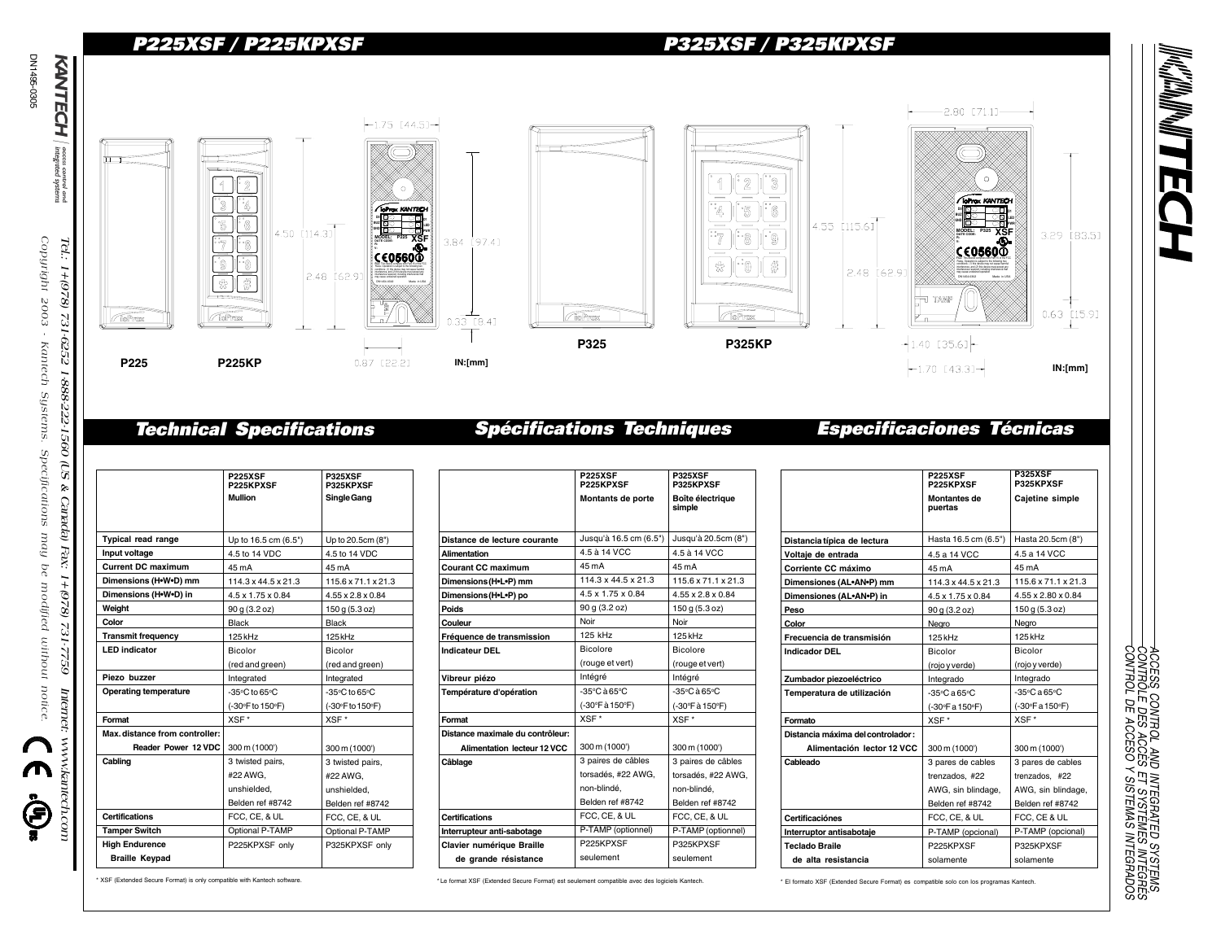# P225XSF / P225KPXSF P325XSF / P325KPXSF



**P225XSF**

**P325XSF**

## Technical Specifications Spécifications Techniques Especificaciones Técnicas

|                               | <b>P225XSF</b><br>P225KPXSF        | <b>P325XSF</b><br>P325KPXSF        |
|-------------------------------|------------------------------------|------------------------------------|
|                               | Mullion                            | Single Gang                        |
|                               |                                    |                                    |
|                               |                                    |                                    |
| <b>Typical read range</b>     | Up to 16.5 cm (6.5")               | Up to 20.5cm (8")                  |
| Input voltage                 | 4.5 to 14 VDC                      | 4.5 to 14 VDC                      |
| <b>Current DC maximum</b>     | 45 mA                              | 45 mA                              |
| Dimensions (H.W.D) mm         | $114.3 \times 44.5 \times 21.3$    | 115.6 x 71.1 x 21.3                |
| Dimensions (H.W.D) in         | 4.5 x 1.75 x 0.84                  | $4.55 \times 2.8 \times 0.84$      |
| Weight                        | 90 g (3.2 oz)                      | 150 g (5.3 oz)                     |
| Color                         | Black                              | Black                              |
| <b>Transmit frequency</b>     | 125 kHz                            | 125 kHz                            |
| <b>LED</b> indicator          | Bicolor                            | Bicolor                            |
|                               | (red and green)                    | (red and green)                    |
| Piezo buzzer                  | Integrated                         | Integrated                         |
| <b>Operating temperature</b>  | $-35^{\circ}$ C to 65 $^{\circ}$ C | $-35^{\circ}$ C to 65 $^{\circ}$ C |
|                               | (-30°F to 150°F)                   | (-30°F to 150°F)                   |
| Format                        | XSF*                               | XSF*                               |
| Max.distance from controller: |                                    |                                    |
| Reader Power 12 VDC           | 300 m (1000')                      | 300 m (1000')                      |
| Cabling                       | 3 twisted pairs,                   | 3 twisted pairs,                   |
|                               | #22 AWG.                           | #22 AWG.                           |
|                               | unshielded.                        | unshielded.                        |
|                               | Belden ref #8742                   | Belden ref #8742                   |
| <b>Certifications</b>         | FCC, CE, & UL                      | FCC, CE, & UL                      |
| <b>Tamper Switch</b>          | Optional P-TAMP                    | Optional P-TAMP                    |
| <b>High Endurence</b>         | P225KPXSF only                     | P325KPXSF only                     |
| <b>Braille Keypad</b>         |                                    |                                    |

|                                    | P225KPXSF                         | P325KPXSF                         |
|------------------------------------|-----------------------------------|-----------------------------------|
|                                    | Montants de porte                 | Boîte électrique<br>simple        |
|                                    |                                   |                                   |
| Distance de lecture courante       | Jusqu'à 16.5 cm (6.5")            | Jusqu'à 20.5cm (8")               |
| <b>Alimentation</b>                | 4.5 à 14 VCC                      | 4.5 à 14 VCC                      |
| Courant CC maximum                 | 45 mA                             | 45 mA                             |
| Dimensions (H.L.P) mm              | $114.3 \times 44.5 \times 21.3$   | $115.6 \times 71.1 \times 21.3$   |
| Dimensions (H.L.P) po              | $4.5 \times 1.75 \times 0.84$     | $4.55 \times 2.8 \times 0.84$     |
| Poids                              | 90 g (3.2 oz)                     | 150 g (5.3 oz)                    |
| Couleur                            | Noir                              | Noir                              |
| Fréquence de transmission          | 125 kHz                           | 125 kHz                           |
| <b>Indicateur DEL</b>              | Bicolore                          | Bicolore                          |
|                                    | (rouge et vert)                   | (rouge et vert)                   |
| Vibreur piézo                      | Intégré                           | Intégré                           |
| Température d'opération            | $-35^{\circ}$ C à 65 $^{\circ}$ C | $-35^{\circ}$ C à 65 $^{\circ}$ C |
|                                    | (-30°F à 150°F)                   | (-30°F à 150°F)                   |
| Format                             | XSF*                              | XSF*                              |
| Distance maximale du contrôleur:   |                                   |                                   |
| <b>Alimentation lecteur 12 VCC</b> | 300 m (1000')                     | 300 m (1000')                     |
| Câblage                            | 3 paires de câbles                | 3 paires de câbles                |
|                                    | torsadés. #22 AWG.                | torsadés, #22 AWG,                |
|                                    | non-blindé.                       | non-blindé.                       |
|                                    | Belden ref #8742                  | Belden ref #8742                  |
| <b>Certifications</b>              | FCC, CE, & UL                     | FCC, CE, & UL                     |
| Interrupteur anti-sabotage         | P-TAMP (optionnel)                | P-TAMP (optionnel)                |
| <b>Clavier numérique Braille</b>   | P225KPXSF                         | P325KPXSF                         |
| de grande résistance               | seulement                         | seulement                         |

|                                   | <b>P225XSF</b><br>P225KPXSF     | <b>P325XSF</b><br>P325KPXSF     |
|-----------------------------------|---------------------------------|---------------------------------|
|                                   | <b>Montantes de</b><br>puertas  | Cajetine simple                 |
|                                   |                                 |                                 |
| Distancia típica de lectura       | Hasta 16.5 cm (6.5")            | Hasta 20.5cm (8")               |
| Voltaje de entrada                | 4.5 a 14 VCC                    | 4.5 a 14 VCC                    |
| Corriente CC máximo               | 45 mA                           | 45 mA                           |
| Dimensiones (AL.AN.P) mm          | $114.3 \times 44.5 \times 21.3$ | $115.6 \times 71.1 \times 21.3$ |
| Dimensiones (AL•AN•P) in          | 4.5 x 1.75 x 0.84               | 4.55 x 2.80 x 0.84              |
| Peso                              | 90 g (3.2 oz)                   | 150q(5.3oz)                     |
| Color                             | Nearo                           | Negro                           |
| Frecuencia de transmisión         | 125 kHz                         | 125 kHz                         |
| Indicador DEL                     | Bicolor                         | <b>Bicolor</b>                  |
|                                   | (rojo y verde)                  | (rojo y verde)                  |
| Zumbador piezoeléctrico           | Integrado                       | Integrado                       |
| Temperatura de utilización        | -35°C a 65°C                    | -35°C a 65°C                    |
|                                   | (-30°F a 150°F)                 | (-30°F a 150°F)                 |
| Formato                           | XSF*                            | XSF*                            |
| Distancia máxima del controlador: |                                 |                                 |
| Alimentación lector 12 VCC        | 300 m (1000')                   | 300 m (1000')                   |
| Cableado                          | 3 pares de cables               | 3 pares de cables               |
|                                   | trenzados. #22                  | trenzados. #22                  |
|                                   | AWG, sin blindage,              | AWG, sin blindage,              |
|                                   | Belden ref #8742                | Belden ref #8742                |
| Certificaciónes                   | FCC, CE, & UL                   | FCC. CE & UL                    |
| Interruptor antisabotaje          | P-TAMP (opcional)               | P-TAMP (opcional)               |
| Teclado Braile                    | P225KPXSF                       | P325KPXSF                       |
| de alta resistancia               | solamente                       | solamente                       |
|                                   |                                 |                                 |

\* XSF (Extended Secure Format) is only compatible with Kantech software. <>>
\*\* Le format XSF (Extended Secure Format) est seulement compatible avec des logiciels Kantech. << \*\* El formato XSF (Extended Secure Format) as c

CONTROL DE ACCESO Y SISTEMAS INTEGRADOS CONTRÔLE DES ACCÈS ET SYSTÈMES INTÉGRÉS ACCESS CONTROL AND INTEGRATED SYSTEMS

ACCESS CONTROL AND INTEGRATED SYSTEMS.<br>CONTROLE DES ACCES ET SYSTEMES INTEGRES<br>CONTROL DE ACCESO Y SISTEMAS INTEGRADOS

DN1495-0305 DN1495-0305 KANTECH

occes<br>integ